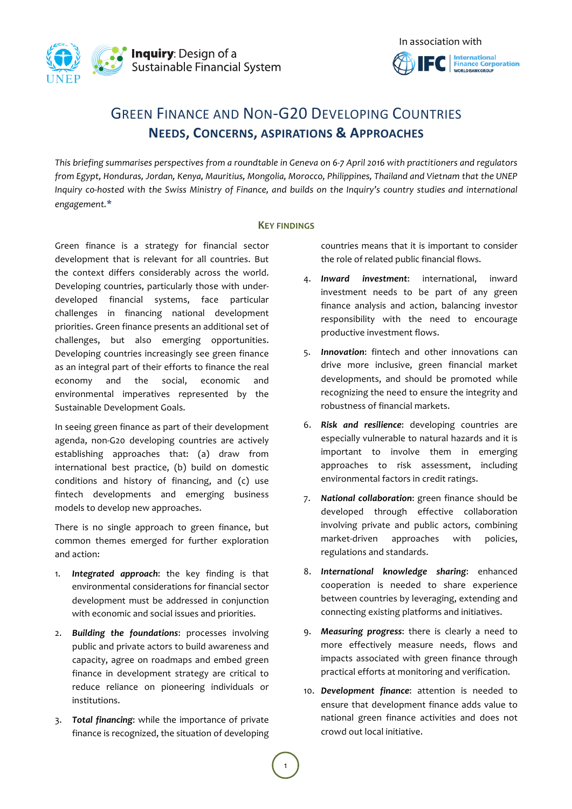



# GREEN FINANCE AND NON-G20 DEVELOPING COUNTRIES **NEEDS, CONCERNS, ASPIRATIONS & APPROACHES**

This briefing summarises perspectives from a roundtable in Geneva on 6-7 April 2016 with practitioners and regulators *from Egypt, Honduras, Jordan, Kenya, Mauritius, Mongolia, Morocco, Philippines, Thailand and Vietnam that the UNEP Inquiry* co-hosted with the Swiss Ministry of Finance, and builds on the Inquiry's country studies and international *engagement.***\***

#### **KEY FINDINGS**

Green finance is a strategy for financial sector development that is relevant for all countries. But the context differs considerably across the world. Developing countries, particularly those with underdeveloped financial systems, face particular challenges in financing national development priorities. Green finance presents an additional set of challenges, but also emerging opportunities. Developing countries increasingly see green finance as an integral part of their efforts to finance the real economy and the social, economic and environmental imperatives represented by the Sustainable Development Goals.

In seeing green finance as part of their development agenda, non-G20 developing countries are actively establishing approaches that: (a) draw from international best practice, (b) build on domestic conditions and history of financing, and (c) use fintech developments and emerging business models to develop new approaches.

There is no single approach to green finance, but common themes emerged for further exploration and action:

- 1. **Integrated approach**: the key finding is that environmental considerations for financial sector development must be addressed in conjunction with economic and social issues and priorities.
- 2. **Building the foundations:** processes involving public and private actors to build awareness and capacity, agree on roadmaps and embed green finance in development strategy are critical to reduce reliance on pioneering individuals or institutions.
- 3. Total financing: while the importance of private finance is recognized, the situation of developing

countries means that it is important to consider the role of related public financial flows.

- 4. **Inward investment**: international, inward investment needs to be part of any green finance analysis and action, balancing investor responsibility with the need to encourage productive investment flows.
- 5. **Innovation**: fintech and other innovations can drive more inclusive, green financial market developments, and should be promoted while recognizing the need to ensure the integrity and robustness of financial markets.
- 6. *Risk and resilience*: developing countries are especially vulnerable to natural hazards and it is important to involve them in emerging approaches to risk assessment, including environmental factors in credit ratings.
- 7. National collaboration: green finance should be developed through effective collaboration involving private and public actors, combining market-driven approaches with policies, regulations and standards.
- 8. **International knowledge sharing**: enhanced cooperation is needed to share experience between countries by leveraging, extending and connecting existing platforms and initiatives.
- 9. Measuring progress: there is clearly a need to more effectively measure needs, flows and impacts associated with green finance through practical efforts at monitoring and verification.
- 10. **Development finance**: attention is needed to ensure that development finance adds value to national green finance activities and does not crowd out local initiative.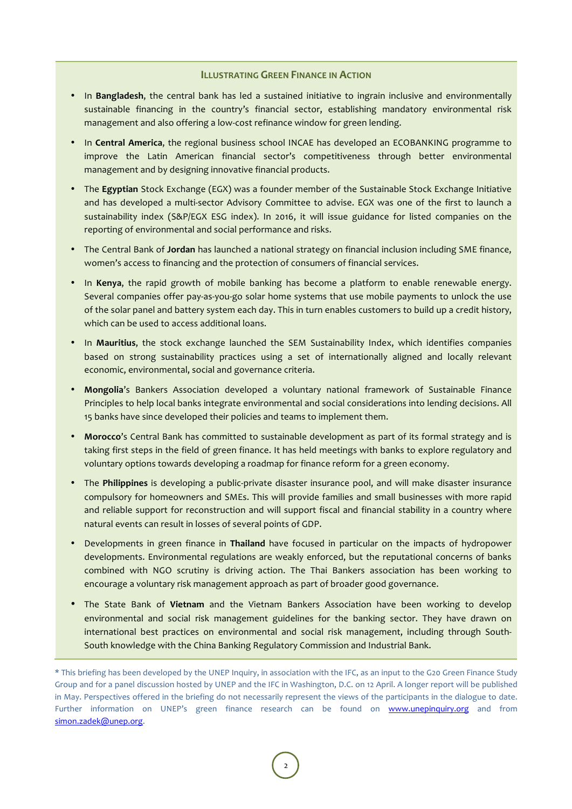#### **ILLUSTRATING GREEN FINANCE IN ACTION**

- In **Bangladesh**, the central bank has led a sustained initiative to ingrain inclusive and environmentally sustainable financing in the country's financial sector, establishing mandatory environmental risk management and also offering a low-cost refinance window for green lending.
- In **Central America**, the regional business school INCAE has developed an ECOBANKING programme to improve the Latin American financial sector's competitiveness through better environmental management and by designing innovative financial products.
- The **Egyptian** Stock Exchange (EGX) was a founder member of the Sustainable Stock Exchange Initiative and has developed a multi-sector Advisory Committee to advise. EGX was one of the first to launch a sustainability index (S&P/EGX ESG index). In 2016, it will issue guidance for listed companies on the reporting of environmental and social performance and risks.
- The Central Bank of **Jordan** has launched a national strategy on financial inclusion including SME finance, women's access to financing and the protection of consumers of financial services.
- In **Kenya**, the rapid growth of mobile banking has become a platform to enable renewable energy. Several companies offer pay-as-you-go solar home systems that use mobile payments to unlock the use of the solar panel and battery system each day. This in turn enables customers to build up a credit history, which can be used to access additional loans.
- In Mauritius, the stock exchange launched the SEM Sustainability Index, which identifies companies based on strong sustainability practices using a set of internationally aligned and locally relevant economic, environmental, social and governance criteria.
- Mongolia's Bankers Association developed a voluntary national framework of Sustainable Finance Principles to help local banks integrate environmental and social considerations into lending decisions. All 15 banks have since developed their policies and teams to implement them.
- Morocco's Central Bank has committed to sustainable development as part of its formal strategy and is taking first steps in the field of green finance. It has held meetings with banks to explore regulatory and voluntary options towards developing a roadmap for finance reform for a green economy.
- The Philippines is developing a public-private disaster insurance pool, and will make disaster insurance compulsory for homeowners and SMEs. This will provide families and small businesses with more rapid and reliable support for reconstruction and will support fiscal and financial stability in a country where natural events can result in losses of several points of GDP.
- Developments in green finance in Thailand have focused in particular on the impacts of hydropower developments. Environmental regulations are weakly enforced, but the reputational concerns of banks combined with NGO scrutiny is driving action. The Thai Bankers association has been working to encourage a voluntary risk management approach as part of broader good governance.
- The State Bank of Vietnam and the Vietnam Bankers Association have been working to develop environmental and social risk management guidelines for the banking sector. They have drawn on international best practices on environmental and social risk management, including through South-South knowledge with the China Banking Regulatory Commission and Industrial Bank.

<sup>\*</sup> This briefing has been developed by the UNEP Inquiry, in association with the IFC, as an input to the G20 Green Finance Study Group and for a panel discussion hosted by UNEP and the IFC in Washington, D.C. on 12 April. A longer report will be published in May. Perspectives offered in the briefing do not necessarily represent the views of the participants in the dialogue to date. Further information on UNEP's green finance research can be found on www.unepinquiry.org and from simon.zadek@unep.org.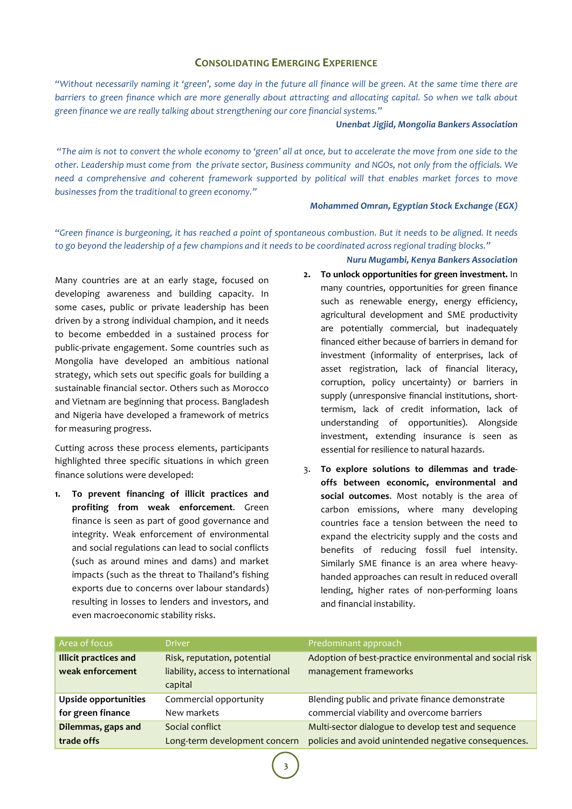## **CONSOLIDATING EMERGING EXPERIENCE**

*"Without necessarily naming it 'green', some day in the future all finance will be green. At the same time there are barriers* to green finance which are more generally about attracting and allocating capital. So when we talk about green finance we are really talking about strengthening our core financial systems."

#### *Unenbat Jigjid, Mongolia Bankers Association*

*"The aim* is not to convert the whole economy to 'green' all at once, but to accelerate the move from one side to the other. Leadership must come from the private sector, Business community and NGOs, not only from the officials. We need a comprehensive and coherent framework supported by political will that enables market forces to move businesses from the traditional to green economy."

#### *Mohammed Omran, Egyptian Stock Exchange (EGX)*

*"Green finance is burgeoning, it has reached a point of spontaneous combustion. But it needs to be aligned. It needs* to go beyond the leadership of a few champions and it needs to be coordinated across regional trading blocks."

Many countries are at an early stage, focused on developing awareness and building capacity. In some cases, public or private leadership has been driven by a strong individual champion, and it needs to become embedded in a sustained process for public-private engagement. Some countries such as Mongolia have developed an ambitious national strategy, which sets out specific goals for building a sustainable financial sector. Others such as Morocco and Vietnam are beginning that process. Bangladesh and Nigeria have developed a framework of metrics for measuring progress.

Cutting across these process elements, participants highlighted three specific situations in which green finance solutions were developed:

1. To prevent financing of illicit practices and **profiting from weak enforcement**. Green finance is seen as part of good governance and integrity. Weak enforcement of environmental and social regulations can lead to social conflicts (such as around mines and dams) and market impacts (such as the threat to Thailand's fishing exports due to concerns over labour standards) resulting in losses to lenders and investors, and even macroeconomic stability risks.

*Nuru Mugambi, Kenya Bankers Association*

- **2.** To unlock opportunities for green investment. In many countries, opportunities for green finance such as renewable energy, energy efficiency, agricultural development and SME productivity are potentially commercial, but inadequately financed either because of barriers in demand for investment (informality of enterprises, lack of asset registration, lack of financial literacy, corruption, policy uncertainty) or barriers in supply (unresponsive financial institutions, shorttermism, lack of credit information, lack of understanding of opportunities). Alongside investment, extending insurance is seen as essential for resilience to natural hazards.
- 3. To explore solutions to dilemmas and tradeoffs between economic, environmental and social outcomes. Most notably is the area of carbon emissions, where many developing countries face a tension between the need to expand the electricity supply and the costs and benefits of reducing fossil fuel intensity. Similarly SME finance is an area where heavyhanded approaches can result in reduced overall lending, higher rates of non-performing loans and financial instability.

| Area of focus                                    | <b>Driver</b>                                                     | Predominant approach                                                             |
|--------------------------------------------------|-------------------------------------------------------------------|----------------------------------------------------------------------------------|
| <b>Illicit practices and</b><br>weak enforcement | Risk, reputation, potential<br>liability, access to international | Adoption of best-practice environmental and social risk<br>management frameworks |
|                                                  | capital                                                           |                                                                                  |
| <b>Upside opportunities</b>                      | Commercial opportunity                                            | Blending public and private finance demonstrate                                  |
| for green finance                                | New markets                                                       | commercial viability and overcome barriers                                       |
| Dilemmas, gaps and                               | Social conflict                                                   | Multi-sector dialogue to develop test and sequence                               |
| trade offs                                       | Long-term development concern                                     | policies and avoid unintended negative consequences.                             |

3